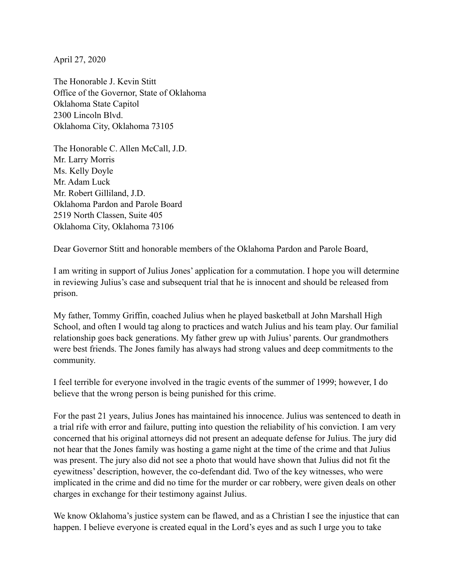April 27, 2020

The Honorable J. Kevin Stitt Office of the Governor, State of Oklahoma Oklahoma State Capitol 2300 Lincoln Blvd. Oklahoma City, Oklahoma 73105

The Honorable C. Allen McCall, J.D. Mr. Larry Morris Ms. Kelly Doyle Mr. Adam Luck Mr. Robert Gilliland, J.D. Oklahoma Pardon and Parole Board 2519 North Classen, Suite 405 Oklahoma City, Oklahoma 73106

Dear Governor Stitt and honorable members of the Oklahoma Pardon and Parole Board,

I am writing in support of Julius Jones' application for a commutation. I hope you will determine in reviewing Julius's case and subsequent trial that he is innocent and should be released from prison.

My father, Tommy Griffin, coached Julius when he played basketball at John Marshall High School, and often I would tag along to practices and watch Julius and his team play. Our familial relationship goes back generations. My father grew up with Julius' parents. Our grandmothers were best friends. The Jones family has always had strong values and deep commitments to the community.

I feel terrible for everyone involved in the tragic events of the summer of 1999; however, I do believe that the wrong person is being punished for this crime.

For the past 21 years, Julius Jones has maintained his innocence. Julius was sentenced to death in a trial rife with error and failure, putting into question the reliability of his conviction. I am very concerned that his original attorneys did not present an adequate defense for Julius. The jury did not hear that the Jones family was hosting a game night at the time of the crime and that Julius was present. The jury also did not see a photo that would have shown that Julius did not fit the eyewitness' description, however, the co-defendant did. Two of the key witnesses, who were implicated in the crime and did no time for the murder or car robbery, were given deals on other charges in exchange for their testimony against Julius.

We know Oklahoma's justice system can be flawed, and as a Christian I see the injustice that can happen. I believe everyone is created equal in the Lord's eyes and as such I urge you to take